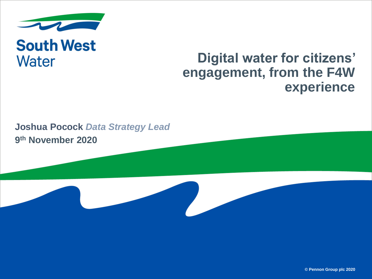

## **South West Water**

### **Digital water for citizens' engagement, from the F4W experience**

#### **9 th November 2020 Joshua Pocock** *Data Strategy Lead*

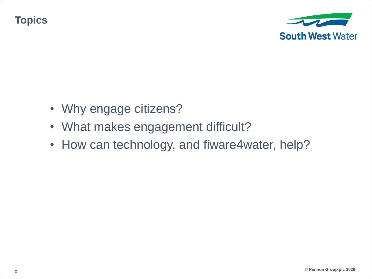**Topics**



- Why engage citizens?
- What makes engagement difficult?
- How can technology, and fiware4water, help?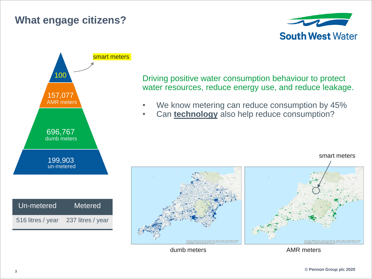#### **What engage citizens?**





Driving positive water consumption behaviour to protect water resources, reduce energy use, and reduce leakage.

- We know metering can reduce consumption by 45%
- Can **technology** also help reduce consumption?



dumb meters **AMR** meters

smart meters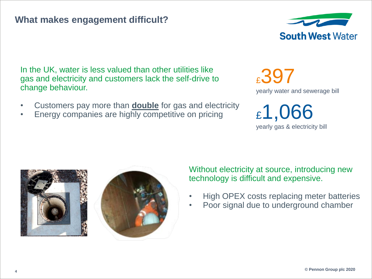#### **What makes engagement difficult?**



In the UK, water is less valued than other utilities like gas and electricity and customers lack the self-drive to change behaviour.

- Customers pay more than **double** for gas and electricity
- Energy companies are highly competitive on pricing

£397 yearly water and sewerage bill

£1,066 yearly gas & electricity bill





Without electricity at source, introducing new technology is difficult and expensive.

- High OPEX costs replacing meter batteries
- Poor signal due to underground chamber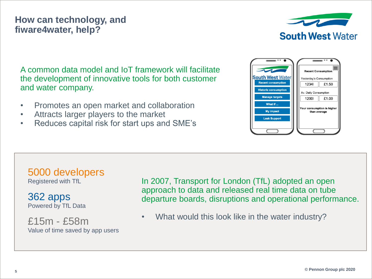#### **How can technology, and fiware4water, help?**



A common data model and IoT framework will facilitate the development of innovative tools for both customer and water company.

- Promotes an open market and collaboration
- Attracts larger players to the market
- Reduces capital risk for start ups and SME's



5000 developers Registered with TfL

362 apps Powered by TfL Data

£15m - £58m Value of time saved by app users In 2007, Transport for London (TfL) adopted an open approach to data and released real time data on tube departure boards, disruptions and operational performance.

• What would this look like in the water industry?